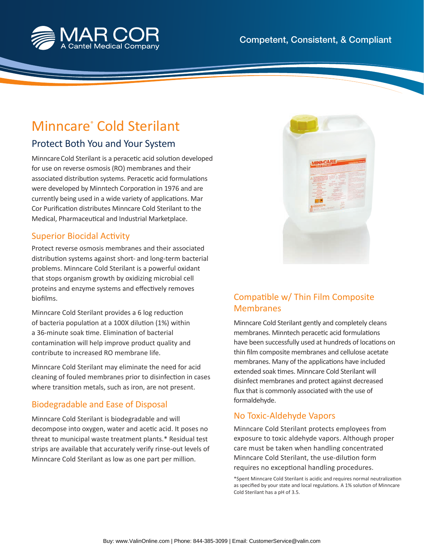

# Minncare® Cold Sterilant

## Protect Both You and Your System

Minncare Cold Sterilant is a peracetic acid solution developed for use on reverse osmosis (RO) membranes and their associated distribution systems. Peracetic acid formulations were developed by Minntech Corporation in 1976 and are currently being used in a wide variety of applications. Mar Cor Purification distributes Minncare Cold Sterilant to the Medical, Pharmaceutical and Industrial Marketplace.

#### **Superior Biocidal Activity**

Protect reverse osmosis membranes and their associated distribution systems against short- and long-term bacterial problems. Minncare Cold Sterilant is a powerful oxidant that stops organism growth by oxidizing microbial cell proteins and enzyme systems and effectively removes biofilms.

Minncare Cold Sterilant provides a 6 log reduction of bacteria population at a 100X dilution (1%) within a 36-minute soak time. Elimination of bacterial contamination will help improve product quality and contribute to increased RO membrane life.

Minncare Cold Sterilant may eliminate the need for acid cleaning of fouled membranes prior to disinfection in cases where transition metals, such as iron, are not present.

### Biodegradable and Ease of Disposal

Minncare Cold Sterilant is biodegradable and will decompose into oxygen, water and acetic acid. It poses no threat to municipal waste treatment plants.\* Residual test strips are available that accurately verify rinse-out levels of Minncare Cold Sterilant as low as one part per million.



## Compatible w/ Thin Film Composite Membranes

Minncare Cold Sterilant gently and completely cleans membranes. Minntech peracetic acid formulations have been successfully used at hundreds of locations on thin film composite membranes and cellulose acetate membranes. Many of the applications have included extended soak times. Minncare Cold Sterilant will disinfect membranes and protect against decreased flux that is commonly associated with the use of formaldehyde.

### No Toxic-Aldehyde Vapors

Minncare Cold Sterilant protects employees from exposure to toxic aldehyde vapors. Although proper care must be taken when handling concentrated Minncare Cold Sterilant, the use-dilution form requires no exceptional handling procedures.

\*Spent Minncare Cold Sterilant is acidic and requires normal neutralizati on as specified by your state and local regulations. A 1% solution of Minncare Cold Sterilant has a pH of 3.5.